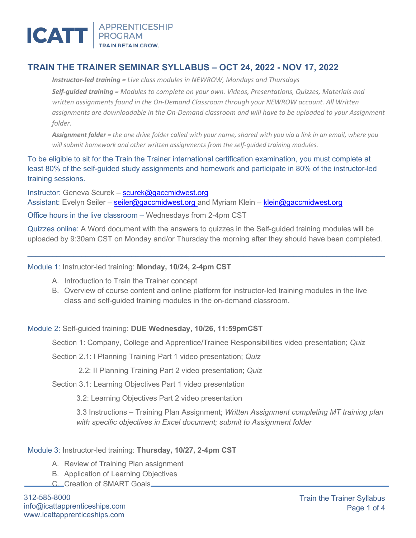

# **TRAIN THE TRAINER SEMINAR SYLLABUS – OCT 24, 2022 - NOV 17, 2022**

*Instructor-led training = Live class modules in NEWROW, Mondays and Thursdays Self-guided training = Modules to complete on your own. Videos, Presentations, Quizzes, Materials and written assignments found in the On-Demand Classroom through your NEWROW account. All Written assignments are downloadable in the On-Demand classroom and will have to be uploaded to your Assignment folder.*

*Assignment folder = the one drive folder called with your name, shared with you via a link in an email, where you will submit homework and other written assignments from the self-guided training modules.*

To be eligible to sit for the Train the Trainer international certification examination, you must complete at least 80% of the self-guided study assignments and homework and participate in 80% of the instructor-led training sessions.

Instructor: Geneva Scurek – [scurek@gaccmidwest.org](mailto:scurek@gaccmidwest.org) Assistant: Evelyn Seiler – [seiler@gaccmidwest.org](mailto:seiler@gaccmidwest.org) and Myriam Klein – [klein@gaccmidwest.org](mailto:klein@gaccmidwest.org) Office hours in the live classroom – Wednesdays from 2-4pm CST

Quizzes online: A Word document with the answers to quizzes in the Self-guided training modules will be uploaded by 9:30am CST on Monday and/or Thursday the morning after they should have been completed.

 $\_$  , and the state of the state of the state of the state of the state of the state of the state of the state of the state of the state of the state of the state of the state of the state of the state of the state of the

Module 1: Instructor-led training: **Monday, 10/24, 2-4pm CST**

- A. Introduction to Train the Trainer concept
- B. Overview of course content and online platform for instructor-led training modules in the live class and self-guided training modules in the on-demand classroom.

## Module 2: Self-guided training: **DUE Wednesday, 10/26, 11:59pmCST**

Section 1: Company, College and Apprentice/Trainee Responsibilities video presentation; *Quiz*

Section 2.1: I Planning Training Part 1 video presentation; *Quiz*

2.2: II Planning Training Part 2 video presentation; *Quiz*

Section 3.1: Learning Objectives Part 1 video presentation

3.2: Learning Objectives Part 2 video presentation

3.3 Instructions – Training Plan Assignment; *Written Assignment completing MT training plan with specific objectives in Excel document; submit to Assignment folder*

## Module 3: Instructor-led training: **Thursday, 10/27, 2-4pm CST**

- A. Review of Training Plan assignment
- B. Application of Learning Objectives
- C. Creation of SMART Goals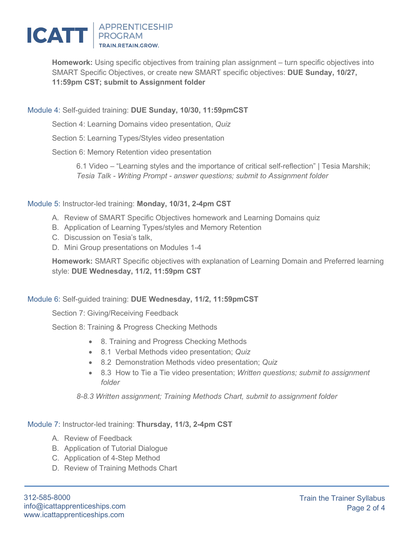

**Homework:** Using specific objectives from training plan assignment – turn specific objectives into SMART Specific Objectives, or create new SMART specific objectives: **DUE Sunday, 10/27, 11:59pm CST; submit to Assignment folder**

## Module 4: Self-guided training: **DUE Sunday, 10/30, 11:59pmCST**

Section 4: Learning Domains video presentation, *Quiz*

Section 5: Learning Types/Styles video presentation

Section 6: Memory Retention video presentation

6.1 Video – "Learning styles and the importance of critical self-reflection" | Tesia Marshik; *Tesia Talk - Writing Prompt - answer questions; submit to Assignment folder*

## Module 5: Instructor-led training: **Monday, 10/31, 2-4pm CST**

- A. Review of SMART Specific Objectives homework and Learning Domains quiz
- B. Application of Learning Types/styles and Memory Retention
- C. Discussion on Tesia's talk,
- D. Mini Group presentations on Modules 1-4

**Homework:** SMART Specific objectives with explanation of Learning Domain and Preferred learning style: **DUE Wednesday, 11/2, 11:59pm CST**

## Module 6: Self-guided training: **DUE Wednesday, 11/2, 11:59pmCST**

Section 7: Giving/Receiving Feedback

Section 8: Training & Progress Checking Methods

- 8. Training and Progress Checking Methods
- 8.1 Verbal Methods video presentation; *Quiz*
- 8.2 Demonstration Methods video presentation; *Quiz*
- 8.3 How to Tie a Tie video presentation; *Written questions; submit to assignment folder*

*8-8.3 Written assignment; Training Methods Chart, submit to assignment folder*

Module 7: Instructor-led training: **Thursday, 11/3, 2-4pm CST**

- A. Review of Feedback
- B. Application of Tutorial Dialogue
- C. Application of 4-Step Method
- D. Review of Training Methods Chart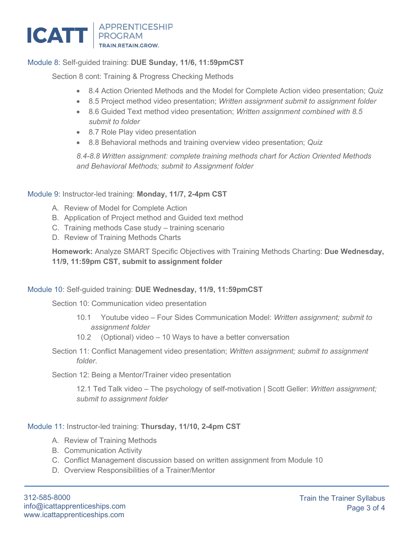

# Module 8: Self-guided training: **DUE Sunday, 11/6, 11:59pmCST**

Section 8 cont: Training & Progress Checking Methods

- 8.4 Action Oriented Methods and the Model for Complete Action video presentation; *Quiz*
- 8.5 Project method video presentation; *Written assignment submit to assignment folder*
- 8.6 Guided Text method video presentation; *Written assignment combined with 8.5 submit to folder*
- 8.7 Role Play video presentation
- 8.8 Behavioral methods and training overview video presentation; *Quiz*

*8.4-8.8 Written assignment: complete training methods chart for Action Oriented Methods and Behavioral Methods; submit to Assignment folder*

#### Module 9: Instructor-led training: **Monday, 11/7, 2-4pm CST**

- A. Review of Model for Complete Action
- B. Application of Project method and Guided text method
- C. Training methods Case study training scenario
- D. Review of Training Methods Charts

**Homework:** Analyze SMART Specific Objectives with Training Methods Charting: **Due Wednesday, 11/9, 11:59pm CST, submit to assignment folder**

## Module 10: Self-guided training: **DUE Wednesday, 11/9, 11:59pmCST**

Section 10: Communication video presentation

- 10.1 Youtube video Four Sides Communication Model: *Written assignment; submit to assignment folder*
- 10.2 (Optional) video 10 Ways to have a better conversation
- Section 11: Conflict Management video presentation; *Written assignment; submit to assignment folder*.

Section 12: Being a Mentor/Trainer video presentation

12.1 Ted Talk video – The psychology of self-motivation | Scott Geller: *Written assignment; submit to assignment folder*

#### Module 11: Instructor-led training: **Thursday, 11/10, 2-4pm CST**

- A. Review of Training Methods
- B. Communication Activity
- C. Conflict Management discussion based on written assignment from Module 10
- D. Overview Responsibilities of a Trainer/Mentor